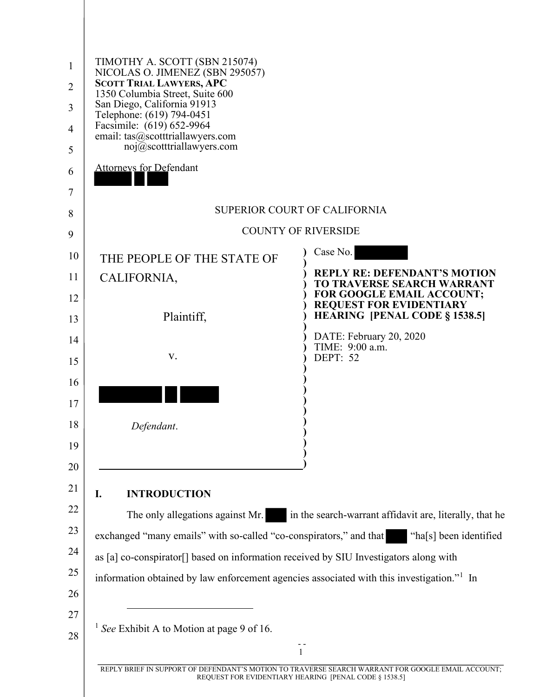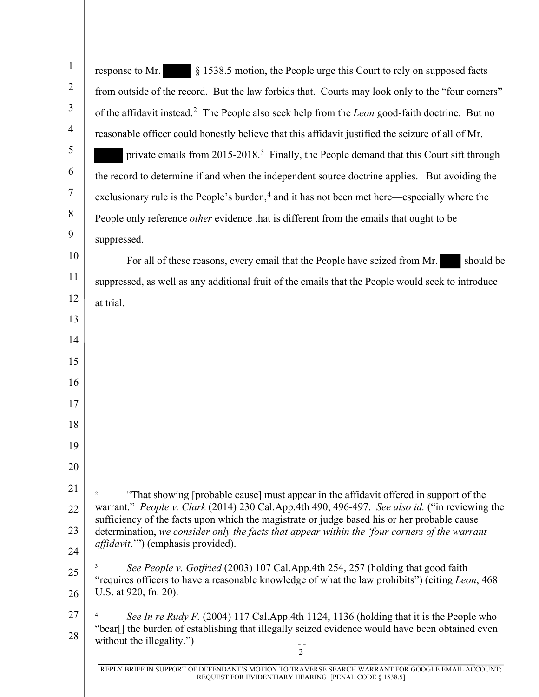| $\mathbf{1}$   | § 1538.5 motion, the People urge this Court to rely on supposed facts<br>response to Mr.                                                                                                      |
|----------------|-----------------------------------------------------------------------------------------------------------------------------------------------------------------------------------------------|
| $\overline{2}$ | from outside of the record. But the law forbids that. Courts may look only to the "four corners"                                                                                              |
| $\mathfrak{Z}$ | of the affidavit instead. <sup>2</sup> The People also seek help from the <i>Leon</i> good-faith doctrine. But no                                                                             |
| $\overline{4}$ | reasonable officer could honestly believe that this affidavit justified the seizure of all of Mr.                                                                                             |
| $\mathfrak{S}$ | private emails from 2015-2018. <sup>3</sup> Finally, the People demand that this Court sift through                                                                                           |
| 6              | the record to determine if and when the independent source doctrine applies. But avoiding the                                                                                                 |
| $\tau$         | exclusionary rule is the People's burden, <sup>4</sup> and it has not been met here—especially where the                                                                                      |
| 8              | People only reference <i>other</i> evidence that is different from the emails that ought to be                                                                                                |
| 9              | suppressed.                                                                                                                                                                                   |
| 10             | For all of these reasons, every email that the People have seized from Mr.<br>should be                                                                                                       |
| 11             | suppressed, as well as any additional fruit of the emails that the People would seek to introduce                                                                                             |
| 12             | at trial.                                                                                                                                                                                     |
| 13             |                                                                                                                                                                                               |
| 14             |                                                                                                                                                                                               |
| 15             |                                                                                                                                                                                               |
| 16             |                                                                                                                                                                                               |
| 17             |                                                                                                                                                                                               |
| 18             |                                                                                                                                                                                               |
| 19             |                                                                                                                                                                                               |
| 20             |                                                                                                                                                                                               |
| 21             | "That showing [probable cause] must appear in the affidavit offered in support of the<br>2                                                                                                    |
| 22             | warrant." People v. Clark (2014) 230 Cal.App.4th 490, 496-497. See also id. ("in reviewing the<br>sufficiency of the facts upon which the magistrate or judge based his or her probable cause |
| 23             | determination, we consider only the facts that appear within the 'four corners of the warrant<br>affidavit."") (emphasis provided).                                                           |
| 24             |                                                                                                                                                                                               |
| 25             | See People v. Gotfried (2003) 107 Cal.App.4th 254, 257 (holding that good faith<br>"requires officers to have a reasonable knowledge of what the law prohibits") (citing Leon, 468            |
| 26             | U.S. at 920, fn. 20).                                                                                                                                                                         |
| 27             | See In re Rudy F. (2004) 117 Cal.App.4th 1124, 1136 (holding that it is the People who                                                                                                        |
| 28             | "bear[] the burden of establishing that illegally seized evidence would have been obtained even<br>without the illegality.")<br>$\overline{c}$                                                |
|                | REPLY BRIEF IN SUPPORT OF DEFENDANT'S MOTION TO TRAVERSE SEARCH WARRANT FOR GOOGLE EMAIL ACCOUNT;                                                                                             |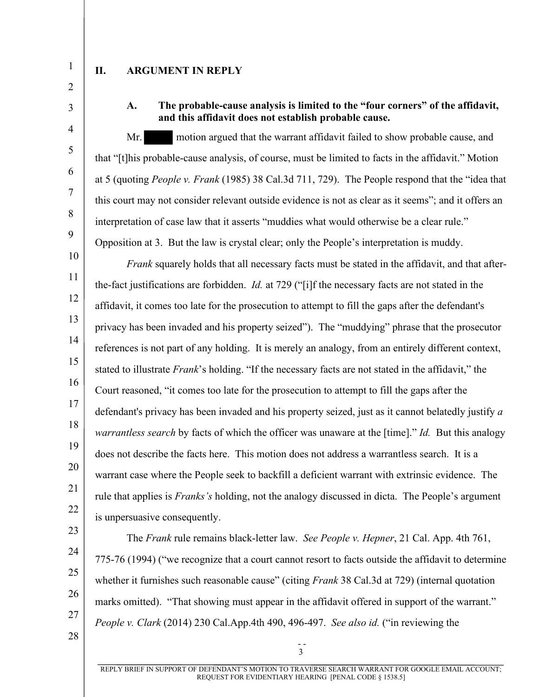- 1
- 2 3

4

5

6

7

8

9

## **II. ARGUMENT IN REPLY**

**A. The probable-cause analysis is limited to the "four corners" of the affidavit, and this affidavit does not establish probable cause.**

Mr. motion argued that the warrant affidavit failed to show probable cause, and that "[t]his probable-cause analysis, of course, must be limited to facts in the affidavit." Motion at 5 (quoting *People v. Frank* (1985) 38 Cal.3d 711, 729). The People respond that the "idea that this court may not consider relevant outside evidence is not as clear as it seems"; and it offers an interpretation of case law that it asserts "muddies what would otherwise be a clear rule." Opposition at 3. But the law is crystal clear; only the People's interpretation is muddy.

10 11 12 13 14 15 16 17 18 19 20 21 22 *Frank* squarely holds that all necessary facts must be stated in the affidavit, and that afterthe-fact justifications are forbidden. *Id.* at 729 ("[i]f the necessary facts are not stated in the affidavit, it comes too late for the prosecution to attempt to fill the gaps after the defendant's privacy has been invaded and his property seized"). The "muddying" phrase that the prosecutor references is not part of any holding. It is merely an analogy, from an entirely different context, stated to illustrate *Frank*'s holding. "If the necessary facts are not stated in the affidavit," the Court reasoned, "it comes too late for the prosecution to attempt to fill the gaps after the defendant's privacy has been invaded and his property seized, just as it cannot belatedly justify *a warrantless search* by facts of which the officer was unaware at the [time]." *Id.* But this analogy does not describe the facts here. This motion does not address a warrantless search. It is a warrant case where the People seek to backfill a deficient warrant with extrinsic evidence. The rule that applies is *Franks's* holding, not the analogy discussed in dicta. The People's argument is unpersuasive consequently.

- 23
- 24 25

26

27

The *Frank* rule remains black-letter law. *See People v. Hepner*, 21 Cal. App. 4th 761, 775-76 (1994) ("we recognize that a court cannot resort to facts outside the affidavit to determine whether it furnishes such reasonable cause" (citing *Frank* 38 Cal.3d at 729) (internal quotation marks omitted). "That showing must appear in the affidavit offered in support of the warrant." *People v. Clark* (2014) 230 Cal.App.4th 490, 496-497. *See also id.* ("in reviewing the

 $28$  -

3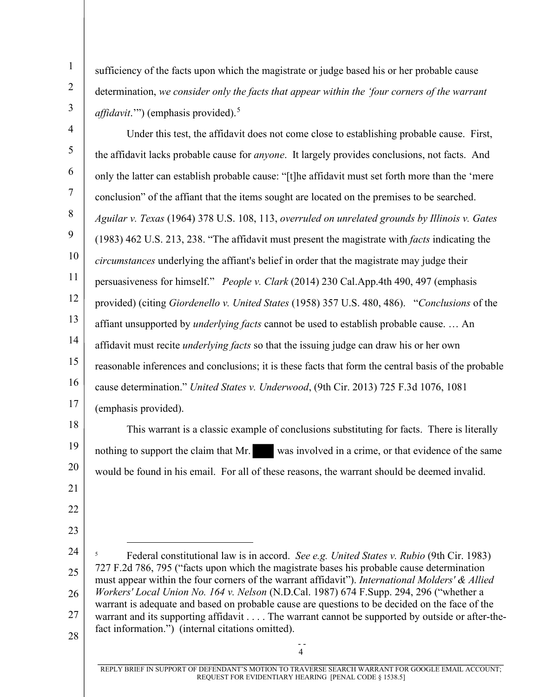sufficiency of the facts upon which the magistrate or judge based his or her probable cause determination, *we consider only the facts that appear within the 'four corners of the warrant affidavit*.'") (emphasis provided).<sup>5</sup>

3 4

21

22

23

1

2

5 6 7 8 9 10 11 12 13 14 15 16 17 Under this test, the affidavit does not come close to establishing probable cause. First, the affidavit lacks probable cause for *anyone*. It largely provides conclusions, not facts. And only the latter can establish probable cause: "[t]he affidavit must set forth more than the 'mere conclusion" of the affiant that the items sought are located on the premises to be searched. *Aguilar v. Texas* (1964) 378 U.S. 108, 113, *overruled on unrelated grounds by Illinois v. Gates* (1983) 462 U.S. 213, 238. "The affidavit must present the magistrate with *facts* indicating the *circumstances* underlying the affiant's belief in order that the magistrate may judge their persuasiveness for himself." *People v. Clark* (2014) 230 Cal.App.4th 490, 497 (emphasis provided) (citing *Giordenello v. United States* (1958) 357 U.S. 480, 486). "*Conclusions* of the affiant unsupported by *underlying facts* cannot be used to establish probable cause. … An affidavit must recite *underlying facts* so that the issuing judge can draw his or her own reasonable inferences and conclusions; it is these facts that form the central basis of the probable cause determination." *United States v. Underwood*, (9th Cir. 2013) 725 F.3d 1076, 1081 (emphasis provided).

18 19 20 This warrant is a classic example of conclusions substituting for facts. There is literally nothing to support the claim that Mr. was involved in a crime, or that evidence of the same would be found in his email. For all of these reasons, the warrant should be deemed invalid.

24 25 26 27  $28$   $-$ 5 Federal constitutional law is in accord. *See e.g. United States v. Rubio* (9th Cir. 1983) 727 F.2d 786, 795 ("facts upon which the magistrate bases his probable cause determination must appear within the four corners of the warrant affidavit"). *International Molders' & Allied Workers' Local Union No. 164 v. Nelson* (N.D.Cal. 1987) 674 F.Supp. 294, 296 ("whether a warrant is adequate and based on probable cause are questions to be decided on the face of the warrant and its supporting affidavit . . . . The warrant cannot be supported by outside or after-thefact information.") (internal citations omitted).

4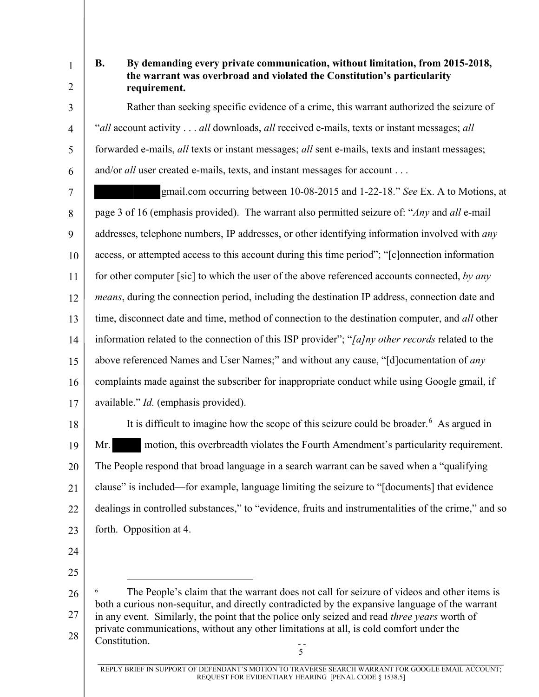1

2

6

## **B. By demanding every private communication, without limitation, from 2015-2018, the warrant was overbroad and violated the Constitution's particularity requirement.**

3 4 5 Rather than seeking specific evidence of a crime, this warrant authorized the seizure of "*all* account activity . . . *all* downloads, *all* received e-mails, texts or instant messages; *all* forwarded e-mails, *all* texts or instant messages; *all* sent e-mails, texts and instant messages; and/or *all* user created e-mails, texts, and instant messages for account . . .

7 8 9 10 11 12 13 14 15 16 17 gmail.com occurring between 10-08-2015 and 1-22-18." *See* Ex. A to Motions, at page 3 of 16 (emphasis provided). The warrant also permitted seizure of: "*Any* and *all* e-mail addresses, telephone numbers, IP addresses, or other identifying information involved with *any* access, or attempted access to this account during this time period"; "[c]onnection information for other computer [sic] to which the user of the above referenced accounts connected, *by any means*, during the connection period, including the destination IP address, connection date and time, disconnect date and time, method of connection to the destination computer, and *all* other information related to the connection of this ISP provider"; "*[a]ny other records* related to the above referenced Names and User Names;" and without any cause, "[d]ocumentation of *any* complaints made against the subscriber for inappropriate conduct while using Google gmail, if available." *Id.* (emphasis provided).

18 19 20 21 22 23 It is difficult to imagine how the scope of this seizure could be broader.<sup>6</sup> As argued in Mr. motion, this overbreadth violates the Fourth Amendment's particularity requirement. The People respond that broad language in a search warrant can be saved when a "qualifying clause" is included—for example, language limiting the seizure to "[documents] that evidence dealings in controlled substances," to "evidence, fruits and instrumentalities of the crime," and so forth. Opposition at 4.

- 24
- 25

<sup>26</sup>  27 28 | Constitution.  $\frac{1}{5}$ 6 The People's claim that the warrant does not call for seizure of videos and other items is both a curious non-sequitur, and directly contradicted by the expansive language of the warrant in any event. Similarly, the point that the police only seized and read *three years* worth of private communications, without any other limitations at all, is cold comfort under the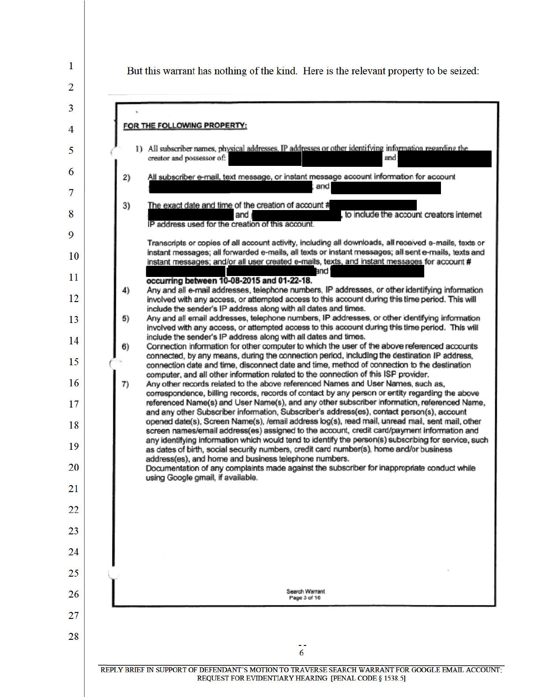1 But this warrant has nothing of the kind. Here is the relevant property to be seized:  $\overline{2}$ 3 FOR THE FOLLOWING PROPERTY: 4 1) All subscriber names, physical addresses, IP addresses or other identifying information regarding the 5 creator and possessor of: and 6 All subscriber e-mail, text message, or instant message account information for account  $2)$ and 7  $3)$ The exact date and time of the creation of account # to include the account creators internet 8 and j IP address used for the creation of this account. 9 Transcripts or copies of all account activity, including all downloads, all received e-mails, texts or instant messages; all forwarded e-mails, all texts or instant messages; all sent e-mails, texts and 10 instant messages; and/or all user created e-mails, texts, and instant messages for account # hne 11 occurring between 10-08-2015 and 01-22-18. Any and all e-mail addresses, telephone numbers, IP addresses, or other identifying information 4) 12 involved with any access, or attempted access to this account during this time period. This will include the sender's IP address along with all dates and times. Any and all email addresses, telephone numbers, IP addresses, or other identifying information  $5)$ 13 involved with any access, or attempted access to this account during this time period. This will include the sender's IP address along with all dates and times. 14  $6)$ Connection information for other computer to which the user of the above referenced accounts connected, by any means, during the connection period, including the destination IP address, 15 connection date and time, disconnect date and time, method of connection to the destination computer, and all other information related to the connection of this ISP provider. 16  $7)$ Any other records related to the above referenced Names and User Names, such as, correspondence, billing records, records of contact by any person or entity regarding the above referenced Name(s) and User Name(s), and any other subscriber information, referenced Name. 17 and any other Subscriber information, Subscriber's address(es), contact person(s), account opened date(s), Screen Name(s), /email address log(s), read mail, unread mail, sent mail, other 18 screen names/email address(es) assigned to the account, credit card/payment information and any identifying information which would tend to identify the person(s) subscribing for service, such 19 as dates of birth, social security numbers, credit card number(s), home and/or business address(es), and home and business telephone numbers. 20 Documentation of any complaints made against the subscriber for inappropriate conduct while using Google gmail, if available. 21 22 23 24 25 Search Warrant 26 Page 3 of 16 27 28 6

REPLY BRIEF IN SUPPORT OF DEFENDANT'S MOTION TO TRAVERSE SEARCH WARRANT FOR GOOGLE EMAIL ACCOUNT. REQUEST FOR EVIDENTIARY HEARING [PENAL CODE § 1538.5]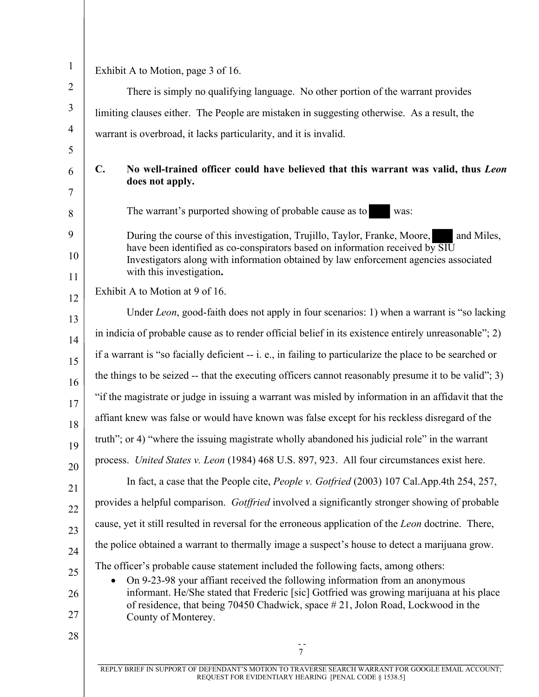| $\mathbf 1$    |                | Exhibit A to Motion, page 3 of 16.                                                                                                                                       |
|----------------|----------------|--------------------------------------------------------------------------------------------------------------------------------------------------------------------------|
| $\mathbf{2}$   |                | There is simply no qualifying language. No other portion of the warrant provides                                                                                         |
| 3              |                | limiting clauses either. The People are mistaken in suggesting otherwise. As a result, the                                                                               |
| $\overline{4}$ |                | warrant is overbroad, it lacks particularity, and it is invalid.                                                                                                         |
| 5              |                |                                                                                                                                                                          |
| 6<br>7         | $\mathbf{C}$ . | No well-trained officer could have believed that this warrant was valid, thus Leon<br>does not apply.                                                                    |
| 8              |                | The warrant's purported showing of probable cause as to<br>was:                                                                                                          |
| 9<br>10        |                | During the course of this investigation, Trujillo, Taylor, Franke, Moore,<br>and Miles,<br>have been identified as co-conspirators based on information received by SIU  |
| 11             |                | Investigators along with information obtained by law enforcement agencies associated<br>with this investigation.                                                         |
| 12             |                | Exhibit A to Motion at 9 of 16.                                                                                                                                          |
| 13             |                | Under Leon, good-faith does not apply in four scenarios: 1) when a warrant is "so lacking                                                                                |
| 14             |                | in indicia of probable cause as to render official belief in its existence entirely unreasonable"; 2)                                                                    |
| 15             |                | if a warrant is "so facially deficient -- i. e., in failing to particularize the place to be searched or                                                                 |
| 16             |                | the things to be seized -- that the executing officers cannot reasonably presume it to be valid"; 3)                                                                     |
| 17             |                | "if the magistrate or judge in issuing a warrant was misled by information in an affidavit that the                                                                      |
| 18             |                | affiant knew was false or would have known was false except for his reckless disregard of the                                                                            |
| 19             |                | truth"; or 4) "where the issuing magistrate wholly abandoned his judicial role" in the warrant                                                                           |
| 20             |                | process. United States v. Leon (1984) 468 U.S. 897, 923. All four circumstances exist here.                                                                              |
| 21             |                | In fact, a case that the People cite, People v. Gotfried (2003) 107 Cal.App.4th 254, 257,                                                                                |
| 22             |                | provides a helpful comparison. Gotffried involved a significantly stronger showing of probable                                                                           |
| 23             |                | cause, yet it still resulted in reversal for the erroneous application of the Leon doctrine. There,                                                                      |
| 24             |                | the police obtained a warrant to thermally image a suspect's house to detect a marijuana grow.                                                                           |
| 25             |                | The officer's probable cause statement included the following facts, among others:                                                                                       |
| 26             |                | On 9-23-98 your affiant received the following information from an anonymous<br>informant. He/She stated that Frederic [sic] Gotfried was growing marijuana at his place |
| 27             |                | of residence, that being 70450 Chadwick, space #21, Jolon Road, Lockwood in the<br>County of Monterey.                                                                   |
| 28             |                |                                                                                                                                                                          |
|                |                | $\overline{7}$                                                                                                                                                           |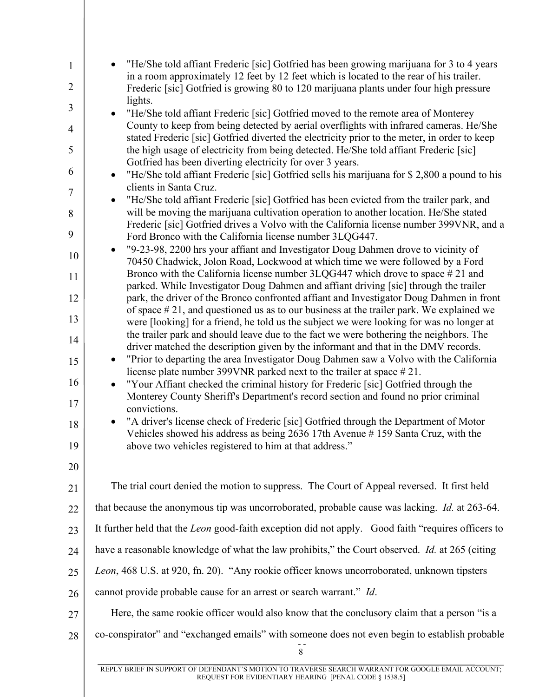| $\mathbf{1}$   | "He/She told affiant Frederic [sic] Gotfried has been growing marijuana for 3 to 4 years<br>in a room approximately 12 feet by 12 feet which is located to the rear of his trailer.    |
|----------------|----------------------------------------------------------------------------------------------------------------------------------------------------------------------------------------|
| $\overline{2}$ | Frederic [sic] Gotfried is growing 80 to 120 marijuana plants under four high pressure                                                                                                 |
| 3              | lights.<br>"He/She told affiant Frederic [sic] Gotfried moved to the remote area of Monterey                                                                                           |
| $\overline{4}$ | County to keep from being detected by aerial overflights with infrared cameras. He/She<br>stated Frederic [sic] Gotfried diverted the electricity prior to the meter, in order to keep |
| 5              | the high usage of electricity from being detected. He/She told affiant Frederic [sic]<br>Gotfried has been diverting electricity for over 3 years.                                     |
| 6              | "He/She told affiant Frederic [sic] Gotfried sells his marijuana for \$2,800 a pound to his<br>$\bullet$<br>clients in Santa Cruz.                                                     |
| 7              | "He/She told affiant Frederic [sic] Gotfried has been evicted from the trailer park, and                                                                                               |
| 8<br>9         | will be moving the marijuana cultivation operation to another location. He/She stated<br>Frederic [sic] Gotfried drives a Volvo with the California license number 399VNR, and a       |
| 10             | Ford Bronco with the California license number 3LQG447.<br>"9-23-98, 2200 hrs your affiant and Investigator Doug Dahmen drove to vicinity of                                           |
| 11             | 70450 Chadwick, Jolon Road, Lockwood at which time we were followed by a Ford<br>Bronco with the California license number 3LQG447 which drove to space #21 and                        |
| 12             | parked. While Investigator Doug Dahmen and affiant driving [sic] through the trailer<br>park, the driver of the Bronco confronted affiant and Investigator Doug Dahmen in front        |
| 13             | of space $#21$ , and questioned us as to our business at the trailer park. We explained we<br>were [looking] for a friend, he told us the subject we were looking for was no longer at |
| 14             | the trailer park and should leave due to the fact we were bothering the neighbors. The<br>driver matched the description given by the informant and that in the DMV records.           |
| 15             | "Prior to departing the area Investigator Doug Dahmen saw a Volvo with the California<br>$\bullet$<br>license plate number 399VNR parked next to the trailer at space $\# 21$ .        |
| 16             | "Your Affiant checked the criminal history for Frederic [sic] Gotfried through the                                                                                                     |
| 17             | Monterey County Sheriff's Department's record section and found no prior criminal<br>convictions.                                                                                      |
| 18             | "A driver's license check of Frederic [sic] Gotfried through the Department of Motor<br>Vehicles showed his address as being 2636 17th Avenue #159 Santa Cruz, with the                |
| 19             | above two vehicles registered to him at that address."                                                                                                                                 |
| 20             |                                                                                                                                                                                        |
| 21             | The trial court denied the motion to suppress. The Court of Appeal reversed. It first held                                                                                             |
| 22             | that because the anonymous tip was uncorroborated, probable cause was lacking. <i>Id.</i> at 263-64.                                                                                   |
| 23             | It further held that the Leon good-faith exception did not apply. Good faith "requires officers to                                                                                     |
| 24             | have a reasonable knowledge of what the law prohibits," the Court observed. <i>Id.</i> at 265 (citing                                                                                  |
| 25             | Leon, 468 U.S. at 920, fn. 20). "Any rookie officer knows uncorroborated, unknown tipsters                                                                                             |
| 26             | cannot provide probable cause for an arrest or search warrant." Id.                                                                                                                    |
| 27             | Here, the same rookie officer would also know that the conclusory claim that a person "is a                                                                                            |
| 28             | co-conspirator" and "exchanged emails" with someone does not even begin to establish probable<br>$8\,$                                                                                 |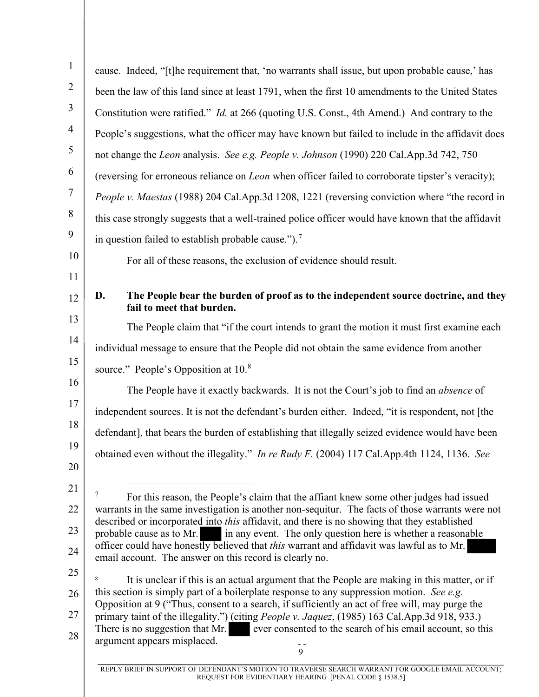| $\mathbf{1}$   | cause. Indeed, "[t]he requirement that, 'no warrants shall issue, but upon probable cause,' has                                                                                                  |
|----------------|--------------------------------------------------------------------------------------------------------------------------------------------------------------------------------------------------|
| $\overline{2}$ | been the law of this land since at least 1791, when the first 10 amendments to the United States                                                                                                 |
| $\mathfrak{Z}$ | Constitution were ratified." <i>Id.</i> at 266 (quoting U.S. Const., 4th Amend.) And contrary to the                                                                                             |
| $\overline{4}$ | People's suggestions, what the officer may have known but failed to include in the affidavit does                                                                                                |
| 5              | not change the Leon analysis. See e.g. People v. Johnson (1990) 220 Cal.App.3d 742, 750                                                                                                          |
| 6              | (reversing for erroneous reliance on <i>Leon</i> when officer failed to corroborate tipster's veracity);                                                                                         |
| $\overline{7}$ | People v. Maestas (1988) 204 Cal.App.3d 1208, 1221 (reversing conviction where "the record in                                                                                                    |
| 8              | this case strongly suggests that a well-trained police officer would have known that the affidavit                                                                                               |
| 9              | in question failed to establish probable cause."). <sup>7</sup>                                                                                                                                  |
| 10             | For all of these reasons, the exclusion of evidence should result.                                                                                                                               |
| 11             |                                                                                                                                                                                                  |
| 12             | The People bear the burden of proof as to the independent source doctrine, and they<br>D.<br>fail to meet that burden.                                                                           |
| 13             | The People claim that "if the court intends to grant the motion it must first examine each                                                                                                       |
| 14             | individual message to ensure that the People did not obtain the same evidence from another                                                                                                       |
| 15             | source." People's Opposition at 10.8                                                                                                                                                             |
| 16             | The People have it exactly backwards. It is not the Court's job to find an <i>absence</i> of                                                                                                     |
| 17             | independent sources. It is not the defendant's burden either. Indeed, "it is respondent, not [the                                                                                                |
| 18             | defendant], that bears the burden of establishing that illegally seized evidence would have been                                                                                                 |
| 19             | obtained even without the illegality." In re Rudy F. (2004) 117 Cal.App.4th 1124, 1136. See                                                                                                      |
| 20             |                                                                                                                                                                                                  |
| 21             | 7<br>For this reason, the People's claim that the affiant knew some other judges had issued                                                                                                      |
| 22             | warrants in the same investigation is another non-sequitur. The facts of those warrants were not<br>described or incorporated into this affidavit, and there is no showing that they established |
| 23             | in any event. The only question here is whether a reasonable<br>probable cause as to Mr.<br>officer could have honestly believed that <i>this</i> warrant and affidavit was lawful as to Mr.     |
| 24             | email account. The answer on this record is clearly no.                                                                                                                                          |
| 25             | It is unclear if this is an actual argument that the People are making in this matter, or if<br>8                                                                                                |
| 26             | this section is simply part of a boilerplate response to any suppression motion. See e.g.<br>Opposition at 9 ("Thus, consent to a search, if sufficiently an act of free will, may purge the     |
| 27             | primary taint of the illegality.") (citing People v. Jaquez, (1985) 163 Cal.App.3d 918, 933.)<br>There is no suggestion that Mr. ever consented to the search of his email account, so this      |
| 28             | argument appears misplaced.<br>9                                                                                                                                                                 |
|                | REPLY BRIEF IN SUPPORT OF DEFENDANT'S MOTION TO TRAVERSE SEARCH WARRANT FOR GOOGLE EMAIL ACCOUNT;                                                                                                |

REQUEST FOR EVIDENTIARY HEARING [PENAL CODE § 1538.5]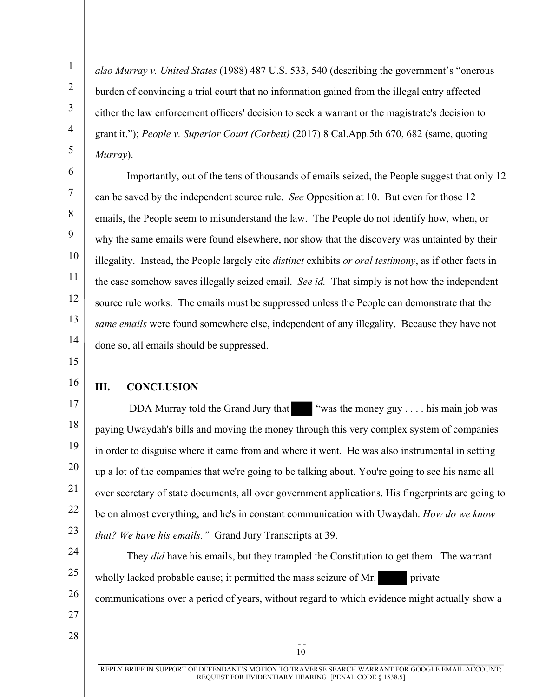*also Murray v. United States* (1988) 487 U.S. 533, 540 (describing the government's "onerous burden of convincing a trial court that no information gained from the illegal entry affected either the law enforcement officers' decision to seek a warrant or the magistrate's decision to grant it."); *People v. Superior Court (Corbett)* (2017) 8 Cal.App.5th 670, 682 (same, quoting *Murray*).

8 9 10 11 12 13 14 Importantly, out of the tens of thousands of emails seized, the People suggest that only 12 can be saved by the independent source rule. *See* Opposition at 10. But even for those 12 emails, the People seem to misunderstand the law. The People do not identify how, when, or why the same emails were found elsewhere, nor show that the discovery was untainted by their illegality. Instead, the People largely cite *distinct* exhibits *or oral testimony*, as if other facts in the case somehow saves illegally seized email. *See id.* That simply is not how the independent source rule works. The emails must be suppressed unless the People can demonstrate that the *same emails* were found somewhere else, independent of any illegality. Because they have not done so, all emails should be suppressed.

- 15
- 16

## **III. CONCLUSION**

17 18 19 20 21 22 23 DDA Murray told the Grand Jury that "was the money guy  $\dots$  his main job was paying Uwaydah's bills and moving the money through this very complex system of companies in order to disguise where it came from and where it went. He was also instrumental in setting up a lot of the companies that we're going to be talking about. You're going to see his name all over secretary of state documents, all over government applications. His fingerprints are going to be on almost everything, and he's in constant communication with Uwaydah. *How do we know that? We have his emails."* Grand Jury Transcripts at 39.

24 25 26 27 They *did* have his emails, but they trampled the Constitution to get them. The warrant wholly lacked probable cause; it permitted the mass seizure of Mr. private communications over a period of years, without regard to which evidence might actually show a

 $28$  -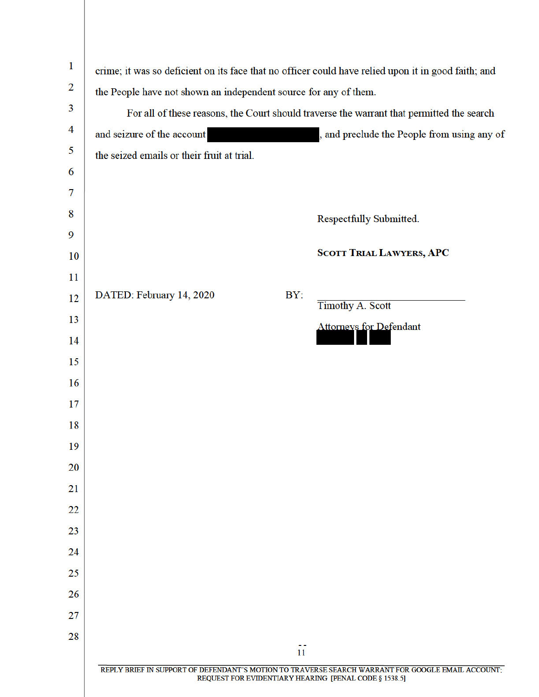| $\mathbf{I}$   | crime; it was so deficient on its face that no officer could have relied upon it in good faith; and                                                        |  |  |  |
|----------------|------------------------------------------------------------------------------------------------------------------------------------------------------------|--|--|--|
| $\overline{2}$ | the People have not shown an independent source for any of them.                                                                                           |  |  |  |
| 3              | For all of these reasons, the Court should traverse the warrant that permitted the search                                                                  |  |  |  |
| $\overline{4}$ | and seizure of the account<br>, and preclude the People from using any of                                                                                  |  |  |  |
| 5              | the seized emails or their fruit at trial.                                                                                                                 |  |  |  |
| 6              |                                                                                                                                                            |  |  |  |
| 7              |                                                                                                                                                            |  |  |  |
| 8              | Respectfully Submitted.                                                                                                                                    |  |  |  |
| 9              |                                                                                                                                                            |  |  |  |
| 10             | <b>SCOTT TRIAL LAWYERS, APC</b>                                                                                                                            |  |  |  |
| 11             |                                                                                                                                                            |  |  |  |
| 12             | BY:<br>DATED: February 14, 2020<br><b>Timothy A. Scott</b>                                                                                                 |  |  |  |
| 13             | <b>Attorneys for Defendant</b>                                                                                                                             |  |  |  |
| 14             |                                                                                                                                                            |  |  |  |
| 15             |                                                                                                                                                            |  |  |  |
| 16             |                                                                                                                                                            |  |  |  |
| 17             |                                                                                                                                                            |  |  |  |
| 18             |                                                                                                                                                            |  |  |  |
| 19             |                                                                                                                                                            |  |  |  |
| 20             |                                                                                                                                                            |  |  |  |
| 21             |                                                                                                                                                            |  |  |  |
| 22             |                                                                                                                                                            |  |  |  |
| 23             |                                                                                                                                                            |  |  |  |
| 24             |                                                                                                                                                            |  |  |  |
| 25             |                                                                                                                                                            |  |  |  |
| 26             |                                                                                                                                                            |  |  |  |
| 27             |                                                                                                                                                            |  |  |  |
| 28             |                                                                                                                                                            |  |  |  |
|                | 11                                                                                                                                                         |  |  |  |
|                | REPLY BRIEF IN SUPPORT OF DEFENDANT'S MOTION TO TRAVERSE SEARCH WARRANT FOR GOOGLE EMAIL ACCOUNT;<br>REQUEST FOR EVIDENTIARY HEARING [PENAL CODE § 1538.5] |  |  |  |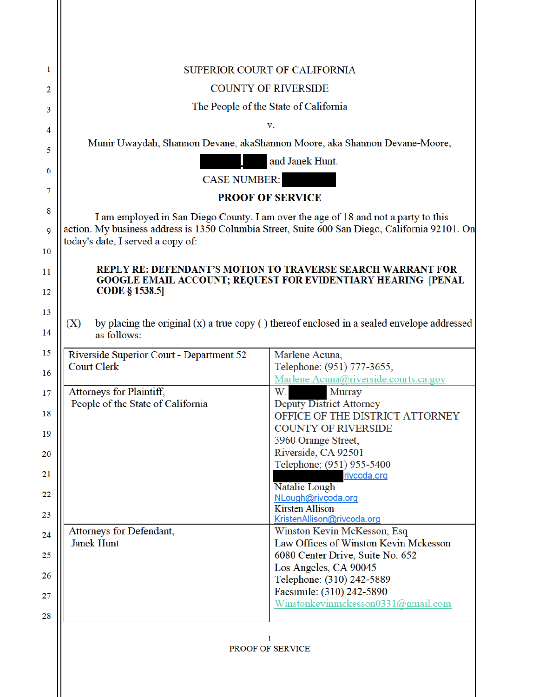|                                                                                                                                                                                      |                                          | SUPERIOR COURT OF CALIFORNIA                                                                                                       |
|--------------------------------------------------------------------------------------------------------------------------------------------------------------------------------------|------------------------------------------|------------------------------------------------------------------------------------------------------------------------------------|
| <b>COUNTY OF RIVERSIDE</b>                                                                                                                                                           |                                          |                                                                                                                                    |
| The People of the State of California                                                                                                                                                |                                          |                                                                                                                                    |
|                                                                                                                                                                                      |                                          | v.                                                                                                                                 |
|                                                                                                                                                                                      |                                          | Munir Uwaydah, Shannon Devane, akaShannon Moore, aka Shannon Devane-Moore,                                                         |
|                                                                                                                                                                                      |                                          | and Janek Hunt.                                                                                                                    |
| <b>CASE NUMBER:</b>                                                                                                                                                                  |                                          |                                                                                                                                    |
| <b>PROOF OF SERVICE</b>                                                                                                                                                              |                                          |                                                                                                                                    |
|                                                                                                                                                                                      |                                          |                                                                                                                                    |
| I am employed in San Diego County. I am over the age of 18 and not a party to this<br>action. My business address is 1350 Columbia Street, Suite 600 San Diego, California 92101. On |                                          |                                                                                                                                    |
|                                                                                                                                                                                      | today's date, I served a copy of:        |                                                                                                                                    |
|                                                                                                                                                                                      |                                          |                                                                                                                                    |
|                                                                                                                                                                                      |                                          | <b>REPLY RE: DEFENDANT'S MOTION TO TRAVERSE SEARCH WARRANT FOR</b><br>GOOGLE EMAIL ACCOUNT; REQUEST FOR EVIDENTIARY HEARING [PENAL |
| <b>CODE § 1538.5</b>                                                                                                                                                                 |                                          |                                                                                                                                    |
| by placing the original $(x)$ a true copy $( )$ thereof enclosed in a sealed envelope addressed<br>(X)<br>as follows:                                                                |                                          |                                                                                                                                    |
| <b>Court Clerk</b>                                                                                                                                                                   | Riverside Superior Court - Department 52 | Marlene Acuna,<br>Telephone: (951) 777-3655,                                                                                       |
|                                                                                                                                                                                      |                                          |                                                                                                                                    |
|                                                                                                                                                                                      |                                          |                                                                                                                                    |
|                                                                                                                                                                                      | Attorneys for Plaintiff,                 | Marlene.Acuna@riverside.courts.ca.gov<br>W.<br>Murray                                                                              |
|                                                                                                                                                                                      | People of the State of California        | <b>Deputy District Attorney</b>                                                                                                    |
|                                                                                                                                                                                      |                                          | OFFICE OF THE DISTRICT ATTORNEY<br><b>COUNTY OF RIVERSIDE</b>                                                                      |
|                                                                                                                                                                                      |                                          | 3960 Orange Street,                                                                                                                |
|                                                                                                                                                                                      |                                          | Riverside, CA 92501                                                                                                                |
|                                                                                                                                                                                      |                                          | Telephone; (951) 955-5400<br>rivcoda.org                                                                                           |
|                                                                                                                                                                                      |                                          | Natalie Lough                                                                                                                      |
|                                                                                                                                                                                      |                                          | NLough@rivcoda.org<br><b>Kirsten Allison</b>                                                                                       |
|                                                                                                                                                                                      |                                          | KristenAllison@rivcoda.org                                                                                                         |
|                                                                                                                                                                                      | Attorneys for Defendant,                 | Winston Kevin McKesson, Esq                                                                                                        |
| <b>Janek Hunt</b>                                                                                                                                                                    |                                          | Law Offices of Winston Kevin Mckesson                                                                                              |
|                                                                                                                                                                                      |                                          | 6080 Center Drive, Suite No. 652<br>Los Angeles, CA 90045                                                                          |
|                                                                                                                                                                                      |                                          | Telephone: (310) 242-5889                                                                                                          |
|                                                                                                                                                                                      |                                          | Facsimile: (310) 242-5890<br>Winstonkevinmckesson0331@gmail.com                                                                    |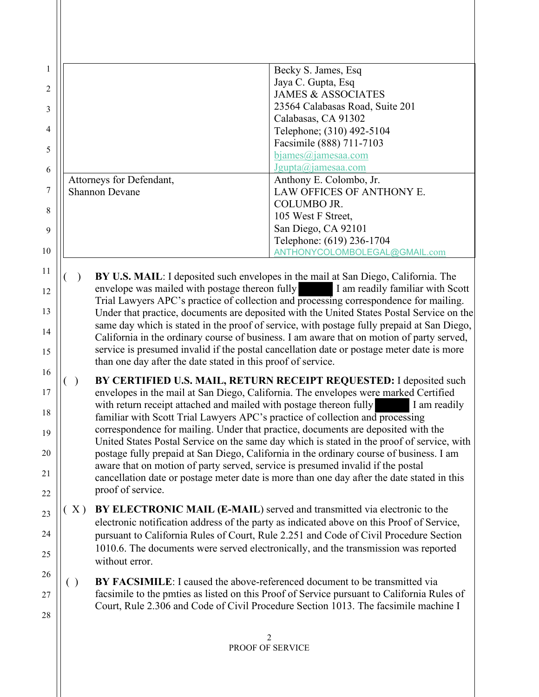|                          | Becky S. James, Esq.            |
|--------------------------|---------------------------------|
|                          | Jaya C. Gupta, Esq              |
|                          | <b>JAMES &amp; ASSOCIATES</b>   |
|                          | 23564 Calabasas Road, Suite 201 |
|                          | Calabasas, CA 91302             |
|                          | Telephone; (310) 492-5104       |
|                          | Facsimile (888) 711-7103        |
|                          | $b$ james $(a)$ jamesaa.com     |
|                          | $J$ gupta $(a)$ jamesaa.com     |
| Attorneys for Defendant, | Anthony E. Colombo, Jr.         |
| <b>Shannon Devane</b>    | LAW OFFICES OF ANTHONY E.       |
|                          | <b>COLUMBO JR.</b>              |
|                          | 105 West F Street,              |
|                          | San Diego, CA 92101             |
|                          | Telephone: (619) 236-1704       |
|                          | ANTHONYCOLOMBOLEGAL@GMAIL.com   |

11

12

13

14

15

16

17

18

19

20

21

22

26

27

28

**BY U.S. MAIL:** I deposited such envelopes in the mail at San Diego, California. The envelope was mailed with postage thereon fully I am readily familiar with Scott Trial Lawyers APC's practice of collection and processing correspondence for mailing. Under that practice, documents are deposited with the United States Postal Service on the same day which is stated in the proof of service, with postage fully prepaid at San Diego, California in the ordinary course of business. I am aware that on motion of party served, service is presumed invalid if the postal cancellation date or postage meter date is more than one day after the date stated in this proof of service.

( ) **BY CERTIFIED U.S. MAIL, RETURN RECEIPT REQUESTED:** I deposited such envelopes in the mail at San Diego, California. The envelopes were marked Certified with return receipt attached and mailed with postage thereon fully I am readily familiar with Scott Trial Lawyers APC's practice of collection and processing correspondence for mailing. Under that practice, documents are deposited with the United States Postal Service on the same day which is stated in the proof of service, with postage fully prepaid at San Diego, California in the ordinary course of business. I am aware that on motion of party served, service is presumed invalid if the postal cancellation date or postage meter date is more than one day after the date stated in this proof of service.

23 24 25 ( X ) **BY ELECTRONIC MAIL (E-MAIL**) served and transmitted via electronic to the electronic notification address of the party as indicated above on this Proof of Service, pursuant to California Rules of Court, Rule 2.251 and Code of Civil Procedure Section 1010.6. The documents were served electronically, and the transmission was reported without error.

( ) **BY FACSIMILE**: I caused the above-referenced document to be transmitted via facsimile to the pmties as listed on this Proof of Service pursuant to California Rules of Court, Rule 2.306 and Code of Civil Procedure Section 1013. The facsimile machine I